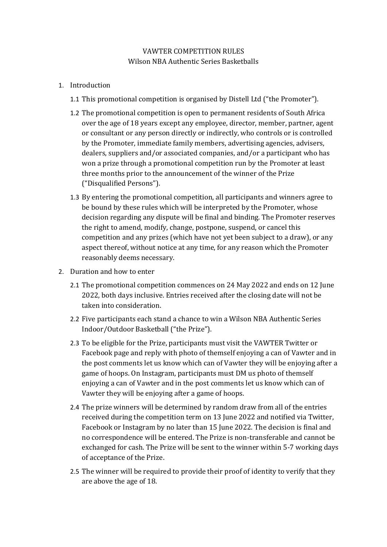## VAWTER COMPETITION RULES Wilson NBA Authentic Series Basketballs

- 1. Introduction
	- 1.1 This promotional competition is organised by Distell Ltd ("the Promoter").
	- 1.2 The promotional competition is open to permanent residents of South Africa over the age of 18 years except any employee, director, member, partner, agent or consultant or any person directly or indirectly, who controls or is controlled by the Promoter, immediate family members, advertising agencies, advisers, dealers, suppliers and/or associated companies, and/or a participant who has won a prize through a promotional competition run by the Promoter at least three months prior to the announcement of the winner of the Prize ("Disqualified Persons").
	- 1.3 By entering the promotional competition, all participants and winners agree to be bound by these rules which will be interpreted by the Promoter, whose decision regarding any dispute will be final and binding. The Promoter reserves the right to amend, modify, change, postpone, suspend, or cancel this competition and any prizes (which have not yet been subject to a draw), or any aspect thereof, without notice at any time, for any reason which the Promoter reasonably deems necessary.
- 2. Duration and how to enter
	- 2.1 The promotional competition commences on 24 May 2022 and ends on 12 June 2022, both days inclusive. Entries received after the closing date will not be taken into consideration.
	- 2.2 Five participants each stand a chance to win a Wilson NBA Authentic Series Indoor/Outdoor Basketball ("the Prize").
	- 2.3 To be eligible for the Prize, participants must visit the VAWTER Twitter or Facebook page and reply with photo of themself enjoying a can of Vawter and in the post comments let us know which can of Vawter they will be enjoying after a game of hoops. On Instagram, participants must DM us photo of themself enjoying a can of Vawter and in the post comments let us know which can of Vawter they will be enjoying after a game of hoops.
	- 2.4 The prize winners will be determined by random draw from all of the entries received during the competition term on 13 June 2022 and notified via Twitter, Facebook or Instagram by no later than 15 June 2022. The decision is final and no correspondence will be entered. The Prize is non-transferable and cannot be exchanged for cash. The Prize will be sent to the winner within 5-7 working days of acceptance of the Prize.
	- 2.5 The winner will be required to provide their proof of identity to verify that they are above the age of 18.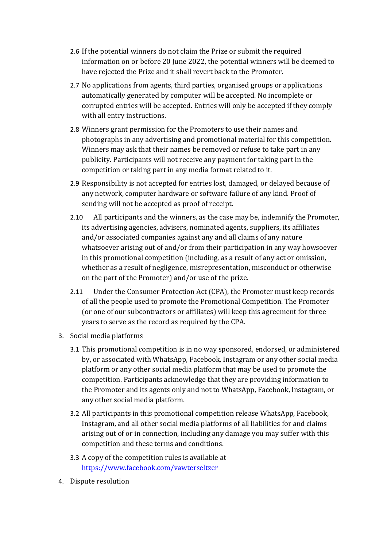- 2.6 If the potential winners do not claim the Prize or submit the required information on or before 20 June 2022, the potential winners will be deemed to have rejected the Prize and it shall revert back to the Promoter.
- 2.7 No applications from agents, third parties, organised groups or applications automatically generated by computer will be accepted. No incomplete or corrupted entries will be accepted. Entries will only be accepted if they comply with all entry instructions.
- 2.8 Winners grant permission for the Promoters to use their names and photographs in any advertising and promotional material for this competition. Winners may ask that their names be removed or refuse to take part in any publicity. Participants will not receive any payment for taking part in the competition or taking part in any media format related to it.
- 2.9 Responsibility is not accepted for entries lost, damaged, or delayed because of any network, computer hardware or software failure of any kind. Proof of sending will not be accepted as proof of receipt.
- 2.10 All participants and the winners, as the case may be, indemnify the Promoter, its advertising agencies, advisers, nominated agents, suppliers, its affiliates and/or associated companies against any and all claims of any nature whatsoever arising out of and/or from their participation in any way howsoever in this promotional competition (including, as a result of any act or omission, whether as a result of negligence, misrepresentation, misconduct or otherwise on the part of the Promoter) and/or use of the prize.
- 2.11 Under the Consumer Protection Act (CPA), the Promoter must keep records of all the people used to promote the Promotional Competition. The Promoter (or one of our subcontractors or affiliates) will keep this agreement for three years to serve as the record as required by the CPA.
- 3. Social media platforms
	- 3.1 This promotional competition is in no way sponsored, endorsed, or administered by, or associated with WhatsApp, Facebook, Instagram or any other social media platform or any other social media platform that may be used to promote the competition. Participants acknowledge that they are providing information to the Promoter and its agents only and not to WhatsApp, Facebook, Instagram, or any other social media platform.
	- 3.2 All participants in this promotional competition release WhatsApp, Facebook, Instagram, and all other social media platforms of all liabilities for and claims arising out of or in connection, including any damage you may suffer with this competition and these terms and conditions.
	- 3.3 A copy of the competition rules is available at [https://www.facebook.com/vawterseltzer](https://www.facebook.com/vawterseltzer/?__cft__%5B0%5D=AZXOw_xFvmBPtv4UlHm4yqbvym5DbNJ5roUZRz-fP9Ak6dFaXLgnQGcV8pUuaqzD14FSsyzzTXISiTulrSPkek3nvYUenb8jrRjSLxyd0NF7zZArOUuDbLc2BOm63REORl89gFlaTvyAfpmq8JnzLAZL6oQ25JtIdlh-KU7gYEBsUbvYSKB1cIfyYNKewEMMjgE&__tn__=kK-R)
- 4. Dispute resolution